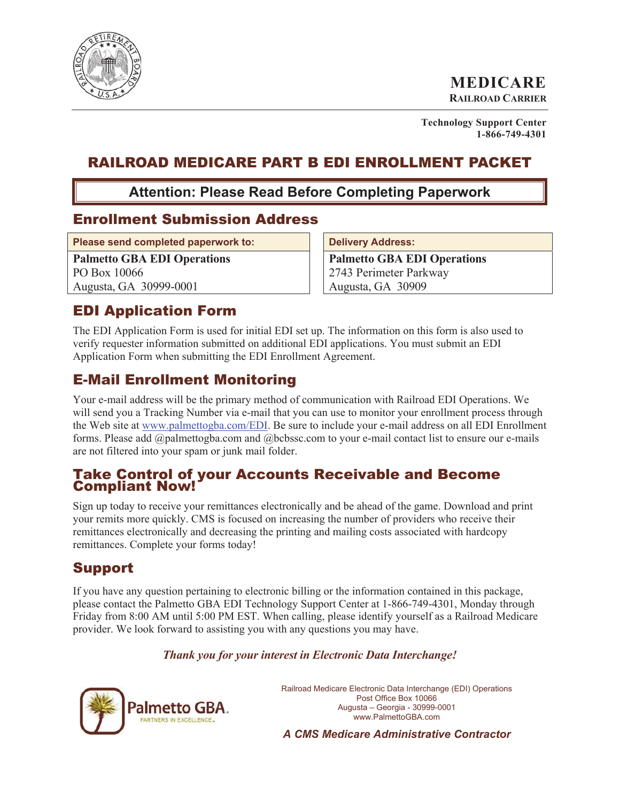

**MEDICARE RAILROAD CARRIER**

**Technology Support Center 1-866-749-4301**

# RAILROAD MEDICARE PART B EDI ENROLLMENT PACKET

**Attention: Please Read Before Completing Paperwork** 

### Enrollment Submission Address

Please send completed paperwork to: **Delivery Address:** 

**Palmetto GBA EDI Operations**  PO Box 10066 Augusta, GA 30999-0001

**Palmetto GBA EDI Operations**  2743 Perimeter Parkway Augusta, GA 30909

# EDI Application Form

The EDI Application Form is used for initial EDI set up. The information on this form is also used to verify requester information submitted on additional EDI applications. You must submit an EDI Application Form when submitting the EDI Enrollment Agreement.

# E-Mail Enrollment Monitoring

Your e-mail address will be the primary method of communication with Railroad EDI Operations. We will send you a Tracking Number via e-mail that you can use to monitor your enrollment process through the Web site at www.palmettogba.com/EDI. Be sure to include your e-mail address on all EDI Enrollment forms. Please add @palmettogba.com and @bcbssc.com to your e-mail contact list to ensure our e-mails are not filtered into your spam or junk mail folder.

#### Take Control of your Accounts Receivable and Become Compliant Now!

Sign up today to receive your remittances electronically and be ahead of the game. Download and print your remits more quickly. CMS is focused on increasing the number of providers who receive their remittances electronically and decreasing the printing and mailing costs associated with hardcopy remittances. Complete your forms today!

# Support

If you have any question pertaining to electronic billing or the information contained in this package, please contact the Palmetto GBA EDI Technology Support Center at 1-866-749-4301, Monday through Friday from 8:00 AM until 5:00 PM EST. When calling, please identify yourself as a Railroad Medicare provider. We look forward to assisting you with any questions you may have.

#### *Thank you for your interest in Electronic Data Interchange!*



Railroad Medicare Electronic Data Interchange (EDI) Operations Post Office Box 10066 Augusta – Georgia - 30999-0001 www.PalmettoGBA.com

*A CMS Medicare Administrative Contractor*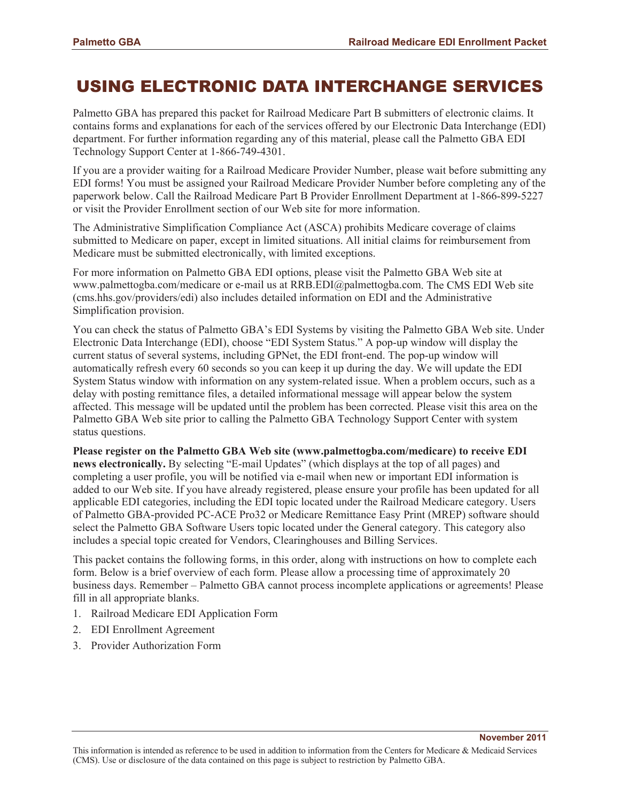# USING ELECTRONIC DATA INTERCHANGE SERVICES

Palmetto GBA has prepared this packet for Railroad Medicare Part B submitters of electronic claims. It contains forms and explanations for each of the services offered by our Electronic Data Interchange (EDI) department. For further information regarding any of this material, please call the Palmetto GBA EDI Technology Support Center at 1-866-749-4301.

If you are a provider waiting for a Railroad Medicare Provider Number, please wait before submitting any EDI forms! You must be assigned your Railroad Medicare Provider Number before completing any of the paperwork below. Call the Railroad Medicare Part B Provider Enrollment Department at 1-866-899-5227 or visit the Provider Enrollment section of our Web site for more information.

The Administrative Simplification Compliance Act (ASCA) prohibits Medicare coverage of claims submitted to Medicare on paper, except in limited situations. All initial claims for reimbursement from Medicare must be submitted electronically, with limited exceptions.

For more information on Palmetto GBA EDI options, please visit the Palmetto GBA Web site at www.palmettogba.com/medicare or e-mail us at RRB.EDI@palmettogba.com. The CMS EDI Web site (cms.hhs.gov/providers/edi) also includes detailed information on EDI and the Administrative Simplification provision.

You can check the status of Palmetto GBA's EDI Systems by visiting the Palmetto GBA Web site. Under Electronic Data Interchange (EDI), choose "EDI System Status." A pop-up window will display the current status of several systems, including GPNet, the EDI front-end. The pop-up window will automatically refresh every 60 seconds so you can keep it up during the day. We will update the EDI System Status window with information on any system-related issue. When a problem occurs, such as a delay with posting remittance files, a detailed informational message will appear below the system affected. This message will be updated until the problem has been corrected. Please visit this area on the Palmetto GBA Web site prior to calling the Palmetto GBA Technology Support Center with system status questions.

**Please register on the Palmetto GBA Web site (www.palmettogba.com/medicare) to receive EDI news electronically.** By selecting "E-mail Updates" (which displays at the top of all pages) and completing a user profile, you will be notified via e-mail when new or important EDI information is added to our Web site. If you have already registered, please ensure your profile has been updated for all applicable EDI categories, including the EDI topic located under the Railroad Medicare category. Users of Palmetto GBA-provided PC-ACE Pro32 or Medicare Remittance Easy Print (MREP) software should select the Palmetto GBA Software Users topic located under the General category. This category also includes a special topic created for Vendors, Clearinghouses and Billing Services.

This packet contains the following forms, in this order, along with instructions on how to complete each form. Below is a brief overview of each form. Please allow a processing time of approximately 20 business days. Remember – Palmetto GBA cannot process incomplete applications or agreements! Please fill in all appropriate blanks.

- 1. Railroad Medicare EDI Application Form
- 2. EDI Enrollment Agreement
- 3. Provider Authorization Form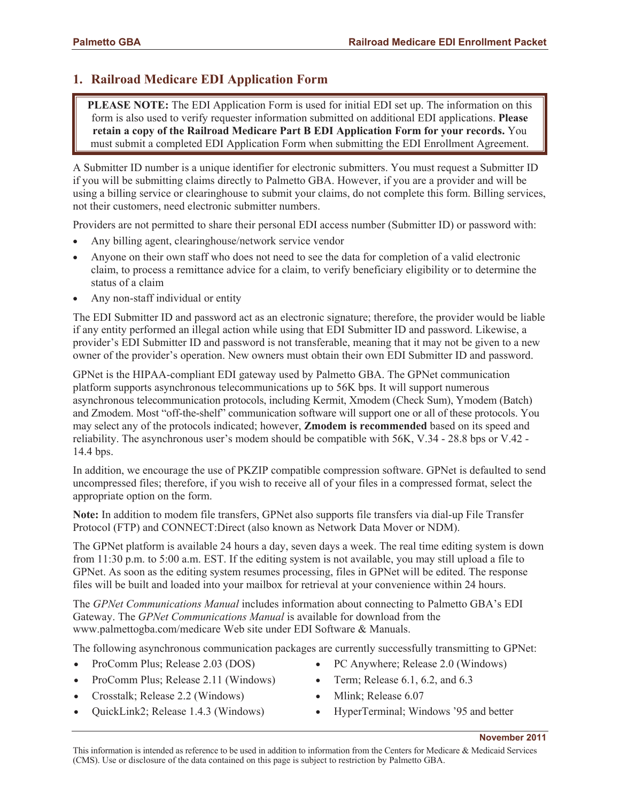### **1. Railroad Medicare EDI Application Form**

**PLEASE NOTE:** The EDI Application Form is used for initial EDI set up. The information on this form is also used to verify requester information submitted on additional EDI applications. **Please retain a copy of the Railroad Medicare Part B EDI Application Form for your records.** You must submit a completed EDI Application Form when submitting the EDI Enrollment Agreement.

A Submitter ID number is a unique identifier for electronic submitters. You must request a Submitter ID if you will be submitting claims directly to Palmetto GBA. However, if you are a provider and will be using a billing service or clearinghouse to submit your claims, do not complete this form. Billing services, not their customers, need electronic submitter numbers.

Providers are not permitted to share their personal EDI access number (Submitter ID) or password with:

- Any billing agent, clearinghouse/network service vendor
- Anyone on their own staff who does not need to see the data for completion of a valid electronic claim, to process a remittance advice for a claim, to verify beneficiary eligibility or to determine the status of a claim
- Any non-staff individual or entity

The EDI Submitter ID and password act as an electronic signature; therefore, the provider would be liable if any entity performed an illegal action while using that EDI Submitter ID and password. Likewise, a provider's EDI Submitter ID and password is not transferable, meaning that it may not be given to a new owner of the provider's operation. New owners must obtain their own EDI Submitter ID and password.

GPNet is the HIPAA-compliant EDI gateway used by Palmetto GBA. The GPNet communication platform supports asynchronous telecommunications up to 56K bps. It will support numerous asynchronous telecommunication protocols, including Kermit, Xmodem (Check Sum), Ymodem (Batch) and Zmodem. Most "off-the-shelf" communication software will support one or all of these protocols. You may select any of the protocols indicated; however, **Zmodem is recommended** based on its speed and reliability. The asynchronous user's modem should be compatible with 56K, V.34 - 28.8 bps or V.42 - 14.4 bps.

In addition, we encourage the use of PKZIP compatible compression software. GPNet is defaulted to send uncompressed files; therefore, if you wish to receive all of your files in a compressed format, select the appropriate option on the form.

**Note:** In addition to modem file transfers, GPNet also supports file transfers via dial-up File Transfer Protocol (FTP) and CONNECT:Direct (also known as Network Data Mover or NDM).

The GPNet platform is available 24 hours a day, seven days a week. The real time editing system is down from 11:30 p.m. to 5:00 a.m. EST. If the editing system is not available, you may still upload a file to GPNet. As soon as the editing system resumes processing, files in GPNet will be edited. The response files will be built and loaded into your mailbox for retrieval at your convenience within 24 hours.

The *GPNet Communications Manual* includes information about connecting to Palmetto GBA's EDI Gateway. The *GPNet Communications Manual* is available for download from the www.palmettogba.com/medicare Web site under EDI Software & Manuals.

The following asynchronous communication packages are currently successfully transmitting to GPNet:

- ProComm Plus; Release  $2.03$  (DOS)
- ProComm Plus; Release 2.11 (Windows)
- Crosstalk; Release 2.2 (Windows)
- QuickLink2; Release  $1.4.3$  (Windows)
- PC Anywhere; Release 2.0 (Windows)
- Term; Release  $6.1, 6.2,$  and  $6.3$
- Mlink; Release 6.07
- HyperTerminal; Windows '95 and better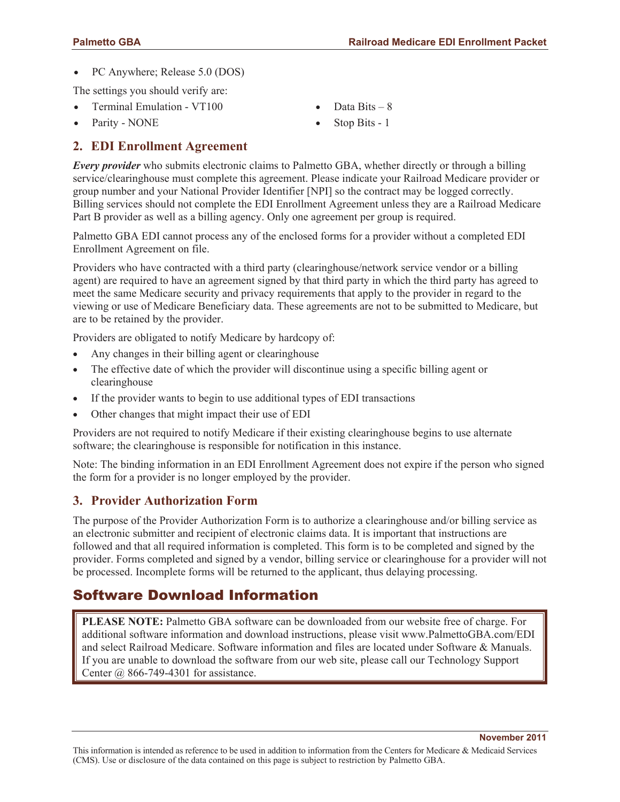**November 2011** 

• PC Anywhere; Release 5.0 (DOS)

The settings you should verify are:

- Terminal Emulation VT100
- Parity NONE

# **2. EDI Enrollment Agreement**

*Every provider* who submits electronic claims to Palmetto GBA, whether directly or through a billing service/clearinghouse must complete this agreement. Please indicate your Railroad Medicare provider or group number and your National Provider Identifier [NPI] so the contract may be logged correctly. Billing services should not complete the EDI Enrollment Agreement unless they are a Railroad Medicare Part B provider as well as a billing agency. Only one agreement per group is required.

Data Bits  $-8$ Stop Bits - 1

Palmetto GBA EDI cannot process any of the enclosed forms for a provider without a completed EDI Enrollment Agreement on file.

Providers who have contracted with a third party (clearinghouse/network service vendor or a billing agent) are required to have an agreement signed by that third party in which the third party has agreed to meet the same Medicare security and privacy requirements that apply to the provider in regard to the viewing or use of Medicare Beneficiary data. These agreements are not to be submitted to Medicare, but are to be retained by the provider.

Providers are obligated to notify Medicare by hardcopy of:

- Any changes in their billing agent or clearinghouse
- The effective date of which the provider will discontinue using a specific billing agent or clearinghouse
- If the provider wants to begin to use additional types of EDI transactions
- Other changes that might impact their use of EDI

Providers are not required to notify Medicare if their existing clearinghouse begins to use alternate software; the clearinghouse is responsible for notification in this instance.

Note: The binding information in an EDI Enrollment Agreement does not expire if the person who signed the form for a provider is no longer employed by the provider.

#### **3. Provider Authorization Form**

The purpose of the Provider Authorization Form is to authorize a clearinghouse and/or billing service as an electronic submitter and recipient of electronic claims data. It is important that instructions are followed and that all required information is completed. This form is to be completed and signed by the provider. Forms completed and signed by a vendor, billing service or clearinghouse for a provider will not be processed. Incomplete forms will be returned to the applicant, thus delaying processing.

## Software Download Information

**PLEASE NOTE:** Palmetto GBA software can be downloaded from our website free of charge. For additional software information and download instructions, please visit www.PalmettoGBA.com/EDI and select Railroad Medicare. Software information and files are located under Software & Manuals. If you are unable to download the software from our web site, please call our Technology Support Center @ 866-749-4301 for assistance.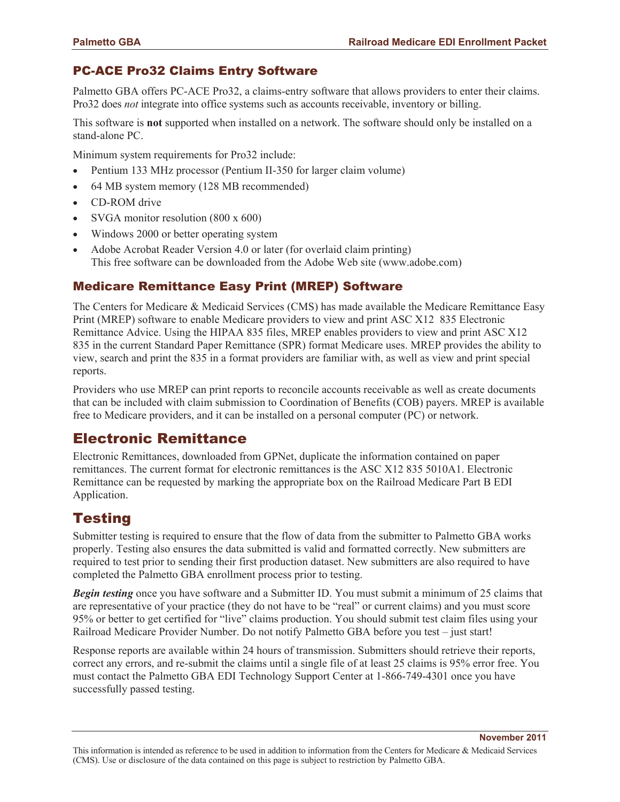#### PC-ACE Pro32 Claims Entry Software

Palmetto GBA offers PC-ACE Pro32, a claims-entry software that allows providers to enter their claims. Pro32 does *not* integrate into office systems such as accounts receivable, inventory or billing.

This software is **not** supported when installed on a network. The software should only be installed on a stand-alone PC.

Minimum system requirements for Pro32 include:

- Pentium 133 MHz processor (Pentium II-350 for larger claim volume)
- x 64 MB system memory (128 MB recommended)
- CD-ROM drive
- x SVGA monitor resolution (800 x 600)
- x Windows 2000 or better operating system
- Adobe Acrobat Reader Version 4.0 or later (for overlaid claim printing) This free software can be downloaded from the Adobe Web site (www.adobe.com)

#### Medicare Remittance Easy Print (MREP) Software

The Centers for Medicare & Medicaid Services (CMS) has made available the Medicare Remittance Easy Print (MREP) software to enable Medicare providers to view and print ASC X12 835 Electronic Remittance Advice. Using the HIPAA 835 files, MREP enables providers to view and print ASC X12 835 in the current Standard Paper Remittance (SPR) format Medicare uses. MREP provides the ability to view, search and print the 835 in a format providers are familiar with, as well as view and print special reports.

Providers who use MREP can print reports to reconcile accounts receivable as well as create documents that can be included with claim submission to Coordination of Benefits (COB) payers. MREP is available free to Medicare providers, and it can be installed on a personal computer (PC) or network.

### Electronic Remittance

Electronic Remittances, downloaded from GPNet, duplicate the information contained on paper remittances. The current format for electronic remittances is the ASC X12 835 5010A1. Electronic Remittance can be requested by marking the appropriate box on the Railroad Medicare Part B EDI Application.

## **Testing**

Submitter testing is required to ensure that the flow of data from the submitter to Palmetto GBA works properly. Testing also ensures the data submitted is valid and formatted correctly. New submitters are required to test prior to sending their first production dataset. New submitters are also required to have completed the Palmetto GBA enrollment process prior to testing.

*Begin testing* once you have software and a Submitter ID. You must submit a minimum of 25 claims that are representative of your practice (they do not have to be "real" or current claims) and you must score 95% or better to get certified for "live" claims production. You should submit test claim files using your Railroad Medicare Provider Number. Do not notify Palmetto GBA before you test – just start!

Response reports are available within 24 hours of transmission. Submitters should retrieve their reports, correct any errors, and re-submit the claims until a single file of at least 25 claims is 95% error free. You must contact the Palmetto GBA EDI Technology Support Center at 1-866-749-4301 once you have successfully passed testing.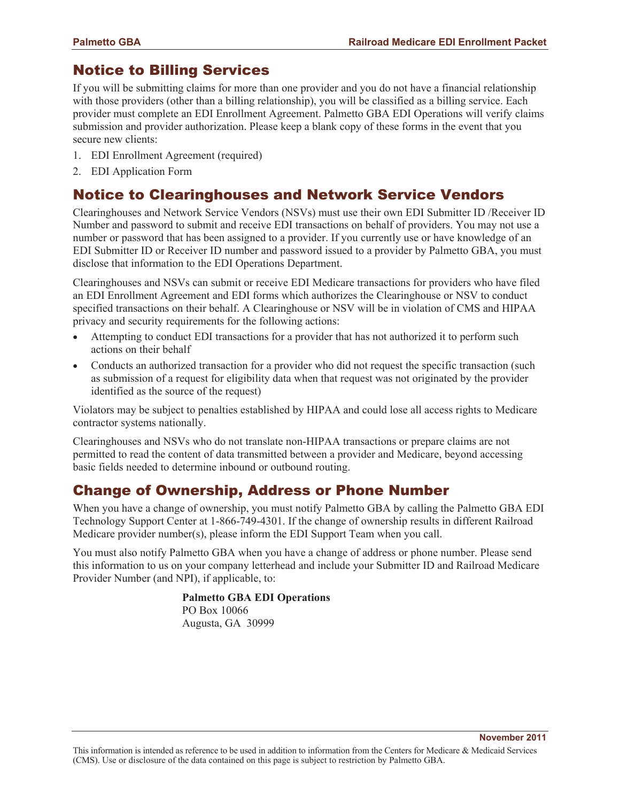## Notice to Billing Services

If you will be submitting claims for more than one provider and you do not have a financial relationship with those providers (other than a billing relationship), you will be classified as a billing service. Each provider must complete an EDI Enrollment Agreement. Palmetto GBA EDI Operations will verify claims submission and provider authorization. Please keep a blank copy of these forms in the event that you secure new clients:

- 1. EDI Enrollment Agreement (required)
- 2. EDI Application Form

## Notice to Clearinghouses and Network Service Vendors

Clearinghouses and Network Service Vendors (NSVs) must use their own EDI Submitter ID /Receiver ID Number and password to submit and receive EDI transactions on behalf of providers. You may not use a number or password that has been assigned to a provider. If you currently use or have knowledge of an EDI Submitter ID or Receiver ID number and password issued to a provider by Palmetto GBA, you must disclose that information to the EDI Operations Department.

Clearinghouses and NSVs can submit or receive EDI Medicare transactions for providers who have filed an EDI Enrollment Agreement and EDI forms which authorizes the Clearinghouse or NSV to conduct specified transactions on their behalf. A Clearinghouse or NSV will be in violation of CMS and HIPAA privacy and security requirements for the following actions:

- Attempting to conduct EDI transactions for a provider that has not authorized it to perform such actions on their behalf
- Conducts an authorized transaction for a provider who did not request the specific transaction (such as submission of a request for eligibility data when that request was not originated by the provider identified as the source of the request)

Violators may be subject to penalties established by HIPAA and could lose all access rights to Medicare contractor systems nationally.

Clearinghouses and NSVs who do not translate non-HIPAA transactions or prepare claims are not permitted to read the content of data transmitted between a provider and Medicare, beyond accessing basic fields needed to determine inbound or outbound routing.

### Change of Ownership, Address or Phone Number

When you have a change of ownership, you must notify Palmetto GBA by calling the Palmetto GBA EDI Technology Support Center at 1-866-749-4301. If the change of ownership results in different Railroad Medicare provider number(s), please inform the EDI Support Team when you call.

You must also notify Palmetto GBA when you have a change of address or phone number. Please send this information to us on your company letterhead and include your Submitter ID and Railroad Medicare Provider Number (and NPI), if applicable, to:

> **Palmetto GBA EDI Operations**  PO Box 10066 Augusta, GA 30999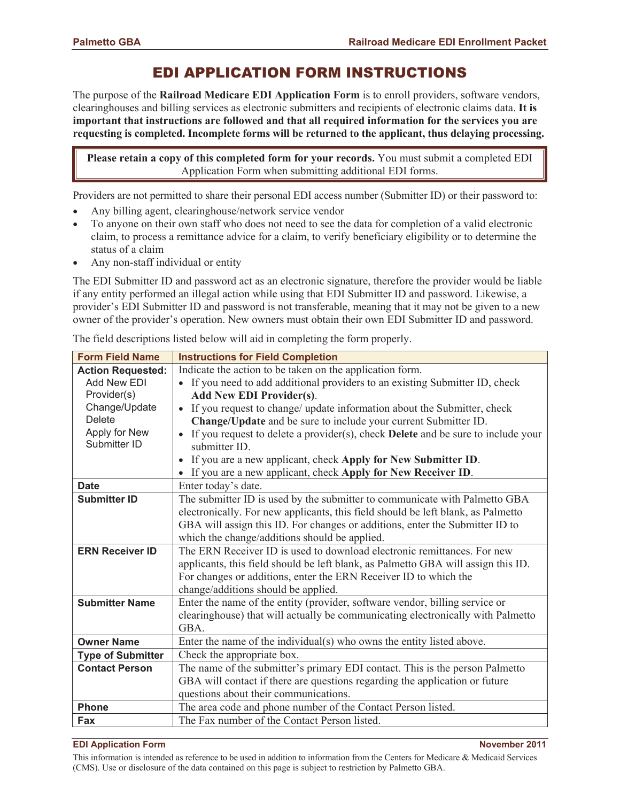## EDI APPLICATION FORM INSTRUCTIONS

The purpose of the **Railroad Medicare EDI Application Form** is to enroll providers, software vendors, clearinghouses and billing services as electronic submitters and recipients of electronic claims data. **It is important that instructions are followed and that all required information for the services you are requesting is completed. Incomplete forms will be returned to the applicant, thus delaying processing.**

**Please retain a copy of this completed form for your records.** You must submit a completed EDI Application Form when submitting additional EDI forms.

Providers are not permitted to share their personal EDI access number (Submitter ID) or their password to:

- Any billing agent, clearinghouse/network service vendor
- To anyone on their own staff who does not need to see the data for completion of a valid electronic claim, to process a remittance advice for a claim, to verify beneficiary eligibility or to determine the status of a claim
- Any non-staff individual or entity

The EDI Submitter ID and password act as an electronic signature, therefore the provider would be liable if any entity performed an illegal action while using that EDI Submitter ID and password. Likewise, a provider's EDI Submitter ID and password is not transferable, meaning that it may not be given to a new owner of the provider's operation. New owners must obtain their own EDI Submitter ID and password.

The field descriptions listed below will aid in completing the form properly.

| <b>Form Field Name</b>   | <b>Instructions for Field Completion</b>                                                             |  |  |  |
|--------------------------|------------------------------------------------------------------------------------------------------|--|--|--|
| <b>Action Requested:</b> | Indicate the action to be taken on the application form.                                             |  |  |  |
| Add New EDI              | • If you need to add additional providers to an existing Submitter ID, check                         |  |  |  |
| Provider(s)              | <b>Add New EDI Provider(s).</b>                                                                      |  |  |  |
| Change/Update            | If you request to change/ update information about the Submitter, check<br>$\bullet$                 |  |  |  |
| <b>Delete</b>            | Change/Update and be sure to include your current Submitter ID.                                      |  |  |  |
| Apply for New            | If you request to delete a provider(s), check <b>Delete</b> and be sure to include your<br>$\bullet$ |  |  |  |
| Submitter ID             | submitter ID.                                                                                        |  |  |  |
|                          | If you are a new applicant, check Apply for New Submitter ID.                                        |  |  |  |
|                          | • If you are a new applicant, check Apply for New Receiver ID.                                       |  |  |  |
| <b>Date</b>              | Enter today's date.                                                                                  |  |  |  |
| <b>Submitter ID</b>      | The submitter ID is used by the submitter to communicate with Palmetto GBA                           |  |  |  |
|                          | electronically. For new applicants, this field should be left blank, as Palmetto                     |  |  |  |
|                          | GBA will assign this ID. For changes or additions, enter the Submitter ID to                         |  |  |  |
|                          | which the change/additions should be applied.                                                        |  |  |  |
| <b>ERN Receiver ID</b>   | The ERN Receiver ID is used to download electronic remittances. For new                              |  |  |  |
|                          | applicants, this field should be left blank, as Palmetto GBA will assign this ID.                    |  |  |  |
|                          | For changes or additions, enter the ERN Receiver ID to which the                                     |  |  |  |
|                          | change/additions should be applied.                                                                  |  |  |  |
| <b>Submitter Name</b>    | Enter the name of the entity (provider, software vendor, billing service or                          |  |  |  |
|                          | clearinghouse) that will actually be communicating electronically with Palmetto                      |  |  |  |
|                          | GBA.                                                                                                 |  |  |  |
| <b>Owner Name</b>        | Enter the name of the individual(s) who owns the entity listed above.                                |  |  |  |
| <b>Type of Submitter</b> | Check the appropriate box.                                                                           |  |  |  |
| <b>Contact Person</b>    | The name of the submitter's primary EDI contact. This is the person Palmetto                         |  |  |  |
|                          | GBA will contact if there are questions regarding the application or future                          |  |  |  |
|                          | questions about their communications.                                                                |  |  |  |
| <b>Phone</b>             | The area code and phone number of the Contact Person listed.                                         |  |  |  |
| Fax                      | The Fax number of the Contact Person listed.                                                         |  |  |  |

#### **EDI Application Form November 2011**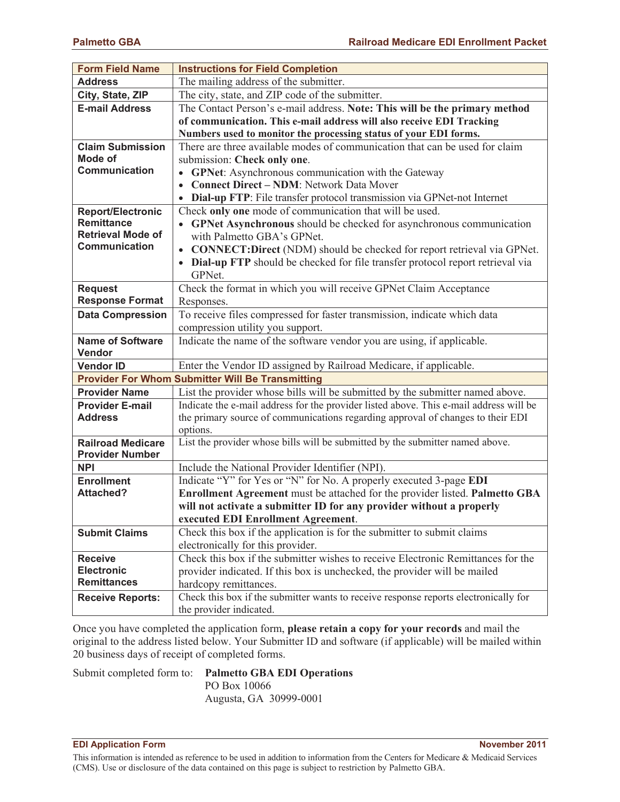| <b>Form Field Name</b>                | <b>Instructions for Field Completion</b>                                                                              |  |  |  |
|---------------------------------------|-----------------------------------------------------------------------------------------------------------------------|--|--|--|
| <b>Address</b>                        | The mailing address of the submitter.                                                                                 |  |  |  |
| City, State, ZIP                      | The city, state, and ZIP code of the submitter.                                                                       |  |  |  |
| <b>E-mail Address</b>                 | The Contact Person's e-mail address. Note: This will be the primary method                                            |  |  |  |
|                                       | of communication. This e-mail address will also receive EDI Tracking                                                  |  |  |  |
|                                       | Numbers used to monitor the processing status of your EDI forms.                                                      |  |  |  |
| <b>Claim Submission</b>               | There are three available modes of communication that can be used for claim                                           |  |  |  |
| <b>Mode of</b>                        | submission: Check only one.                                                                                           |  |  |  |
| <b>Communication</b>                  | <b>GPNet:</b> Asynchronous communication with the Gateway                                                             |  |  |  |
|                                       | <b>Connect Direct - NDM: Network Data Mover</b>                                                                       |  |  |  |
|                                       | Dial-up FTP: File transfer protocol transmission via GPNet-not Internet                                               |  |  |  |
| <b>Report/Electronic</b>              | Check only one mode of communication that will be used.                                                               |  |  |  |
| <b>Remittance</b>                     | • GPNet Asynchronous should be checked for asynchronous communication                                                 |  |  |  |
| <b>Retrieval Mode of</b>              | with Palmetto GBA's GPNet.                                                                                            |  |  |  |
| <b>Communication</b>                  | • CONNECT: Direct (NDM) should be checked for report retrieval via GPNet.                                             |  |  |  |
|                                       | Dial-up FTP should be checked for file transfer protocol report retrieval via                                         |  |  |  |
|                                       | GPNet.                                                                                                                |  |  |  |
| <b>Request</b>                        | Check the format in which you will receive GPNet Claim Acceptance                                                     |  |  |  |
| <b>Response Format</b>                | Responses.                                                                                                            |  |  |  |
| <b>Data Compression</b>               | To receive files compressed for faster transmission, indicate which data                                              |  |  |  |
|                                       | compression utility you support.                                                                                      |  |  |  |
| <b>Name of Software</b>               | Indicate the name of the software vendor you are using, if applicable.                                                |  |  |  |
| Vendor                                |                                                                                                                       |  |  |  |
| <b>Vendor ID</b>                      | Enter the Vendor ID assigned by Railroad Medicare, if applicable.                                                     |  |  |  |
|                                       | <b>Provider For Whom Submitter Will Be Transmitting</b>                                                               |  |  |  |
| <b>Provider Name</b>                  | List the provider whose bills will be submitted by the submitter named above.                                         |  |  |  |
| <b>Provider E-mail</b>                | Indicate the e-mail address for the provider listed above. This e-mail address will be                                |  |  |  |
| <b>Address</b>                        | the primary source of communications regarding approval of changes to their EDI                                       |  |  |  |
|                                       | options.                                                                                                              |  |  |  |
| <b>Railroad Medicare</b>              | List the provider whose bills will be submitted by the submitter named above.                                         |  |  |  |
| <b>Provider Number</b>                |                                                                                                                       |  |  |  |
| <b>NPI</b>                            | Include the National Provider Identifier (NPI).                                                                       |  |  |  |
| <b>Enrollment</b><br><b>Attached?</b> | Indicate "Y" for Yes or "N" for No. A properly executed 3-page EDI                                                    |  |  |  |
|                                       | Enrollment Agreement must be attached for the provider listed. Palmetto GBA                                           |  |  |  |
|                                       | will not activate a submitter ID for any provider without a properly                                                  |  |  |  |
|                                       | executed EDI Enrollment Agreement.                                                                                    |  |  |  |
| <b>Submit Claims</b>                  | Check this box if the application is for the submitter to submit claims                                               |  |  |  |
|                                       | electronically for this provider.<br>Check this box if the submitter wishes to receive Electronic Remittances for the |  |  |  |
| <b>Receive</b><br><b>Electronic</b>   |                                                                                                                       |  |  |  |
| <b>Remittances</b>                    | provider indicated. If this box is unchecked, the provider will be mailed                                             |  |  |  |
|                                       | hardcopy remittances.                                                                                                 |  |  |  |
| <b>Receive Reports:</b>               | Check this box if the submitter wants to receive response reports electronically for<br>the provider indicated.       |  |  |  |
|                                       |                                                                                                                       |  |  |  |

Once you have completed the application form, **please retain a copy for your records** and mail the original to the address listed below. Your Submitter ID and software (if applicable) will be mailed within 20 business days of receipt of completed forms.

#### Submit completed form to: **Palmetto GBA EDI Operations**

PO Box 10066 Augusta, GA 30999-0001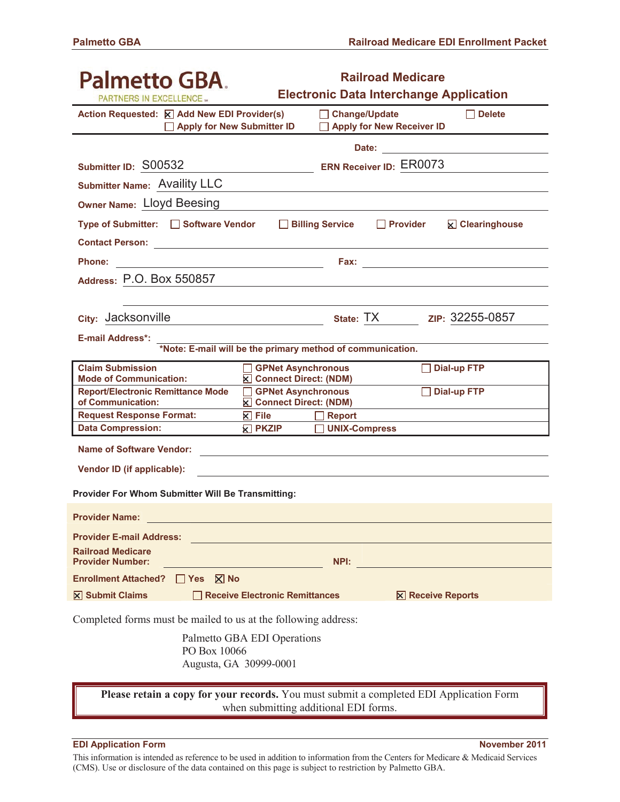| Palmetto GBA.<br><b>PARTNERS IN EXCELLENCE</b>                                                                 | <b>Railroad Medicare</b><br><b>Electronic Data Interchange Application</b>              |  |  |  |  |  |
|----------------------------------------------------------------------------------------------------------------|-----------------------------------------------------------------------------------------|--|--|--|--|--|
| Action Requested: X Add New EDI Provider(s)<br>Apply for New Submitter ID                                      | $\Box$ Delete<br>□ Change/Update<br><b>Apply for New Receiver ID</b>                    |  |  |  |  |  |
|                                                                                                                | Date: <u>____________</u>                                                               |  |  |  |  |  |
| Submitter ID: S00532                                                                                           | <b>ERN Receiver ID: ER0073</b>                                                          |  |  |  |  |  |
| Submitter Name: Availity LLC                                                                                   |                                                                                         |  |  |  |  |  |
| <b>Owner Name: Lloyd Beesing</b>                                                                               |                                                                                         |  |  |  |  |  |
| Type of Submitter: □ Software Vendor □ Billing Service                                                         | $\Box$ Provider<br><b>⊠</b> Clearinghouse                                               |  |  |  |  |  |
| Contact Person: 2008 2009 2009 2009 2009 2010 2021 2022 2023 2024 2022 2023 2024 2022 2023 2024 2025 2026 2027 |                                                                                         |  |  |  |  |  |
| <b>Phone:</b><br><u> 1990 - Johann Barbara, martin amerikan basar da</u>                                       |                                                                                         |  |  |  |  |  |
| Address: P.O. Box 550857                                                                                       |                                                                                         |  |  |  |  |  |
|                                                                                                                |                                                                                         |  |  |  |  |  |
| city: Jacksonville                                                                                             | <u>xip:</u> 32255-0857                                                                  |  |  |  |  |  |
| <b>E-mail Address*:</b>                                                                                        |                                                                                         |  |  |  |  |  |
| *Note: E-mail will be the primary method of communication.                                                     |                                                                                         |  |  |  |  |  |
| <b>Claim Submission</b><br><b>Mode of Communication:</b><br><b>⊠</b> Connect Direct: (NDM)                     | <b>Dial-up FTP</b><br><b>GPNet Asynchronous</b>                                         |  |  |  |  |  |
| <b>Report/Electronic Remittance Mode</b>                                                                       | <b>Dial-up FTP</b><br><b>GPNet Asynchronous</b>                                         |  |  |  |  |  |
| of Communication:<br>Connect Direct: (NDM)                                                                     |                                                                                         |  |  |  |  |  |
| <b>Request Response Format:</b><br>$\mathsf{R}$ File<br><b>Data Compression:</b><br><b>E</b> PKZIP             | $\Box$ Report<br><b>UNIX-Compress</b>                                                   |  |  |  |  |  |
| <b>Name of Software Vendor:</b>                                                                                |                                                                                         |  |  |  |  |  |
|                                                                                                                |                                                                                         |  |  |  |  |  |
| Vendor ID (if applicable):                                                                                     |                                                                                         |  |  |  |  |  |
| Provider For Whom Submitter Will Be Transmitting:                                                              |                                                                                         |  |  |  |  |  |
| <b>Provider Name:</b>                                                                                          |                                                                                         |  |  |  |  |  |
| <b>Provider E-mail Address:</b>                                                                                |                                                                                         |  |  |  |  |  |
| <b>Railroad Medicare</b><br><b>Provider Number:</b>                                                            | NPI:                                                                                    |  |  |  |  |  |
| <b>Enrollment Attached?</b><br>$\Box$ Yes $\boxtimes$ No                                                       |                                                                                         |  |  |  |  |  |
| $\boxtimes$ Submit Claims<br>Receive Electronic Remittances                                                    | <b>⊠ Receive Reports</b>                                                                |  |  |  |  |  |
|                                                                                                                |                                                                                         |  |  |  |  |  |
| Completed forms must be mailed to us at the following address:                                                 |                                                                                         |  |  |  |  |  |
| Palmetto GBA EDI Operations<br>PO Box 10066                                                                    |                                                                                         |  |  |  |  |  |
| Augusta, GA 30999-0001                                                                                         |                                                                                         |  |  |  |  |  |
|                                                                                                                | Please retain a copy for your records. You must submit a completed EDI Application Form |  |  |  |  |  |

when submitting additional EDI forms.

#### **EDI Application Form November 2011**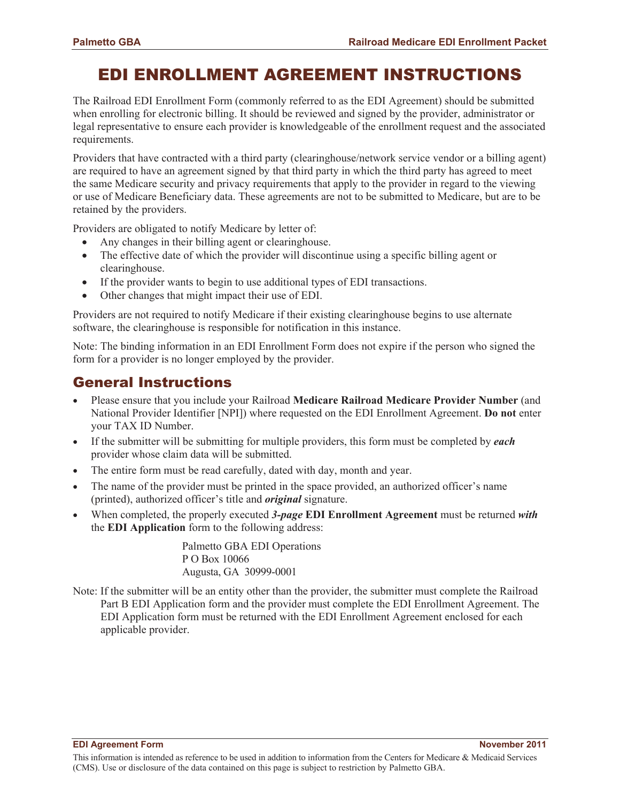# EDI ENROLLMENT AGREEMENT INSTRUCTIONS

The Railroad EDI Enrollment Form (commonly referred to as the EDI Agreement) should be submitted when enrolling for electronic billing. It should be reviewed and signed by the provider, administrator or legal representative to ensure each provider is knowledgeable of the enrollment request and the associated requirements.

Providers that have contracted with a third party (clearinghouse/network service vendor or a billing agent) are required to have an agreement signed by that third party in which the third party has agreed to meet the same Medicare security and privacy requirements that apply to the provider in regard to the viewing or use of Medicare Beneficiary data. These agreements are not to be submitted to Medicare, but are to be retained by the providers.

Providers are obligated to notify Medicare by letter of:

- Any changes in their billing agent or clearinghouse.
- The effective date of which the provider will discontinue using a specific billing agent or clearinghouse.
- If the provider wants to begin to use additional types of EDI transactions.
- Other changes that might impact their use of EDI.

Providers are not required to notify Medicare if their existing clearinghouse begins to use alternate software, the clearinghouse is responsible for notification in this instance.

Note: The binding information in an EDI Enrollment Form does not expire if the person who signed the form for a provider is no longer employed by the provider.

### General Instructions

- x Please ensure that you include your Railroad **Medicare Railroad Medicare Provider Number** (and National Provider Identifier [NPI]) where requested on the EDI Enrollment Agreement. **Do not** enter your TAX ID Number.
- x If the submitter will be submitting for multiple providers, this form must be completed by *each* provider whose claim data will be submitted.
- The entire form must be read carefully, dated with day, month and year.
- The name of the provider must be printed in the space provided, an authorized officer's name (printed), authorized officer's title and *original* signature.
- x When completed, the properly executed *3-page* **EDI Enrollment Agreement** must be returned *with* the **EDI Application** form to the following address:

Palmetto GBA EDI Operations P O Box 10066 Augusta, GA 30999-0001

Note: If the submitter will be an entity other than the provider, the submitter must complete the Railroad Part B EDI Application form and the provider must complete the EDI Enrollment Agreement. The EDI Application form must be returned with the EDI Enrollment Agreement enclosed for each applicable provider.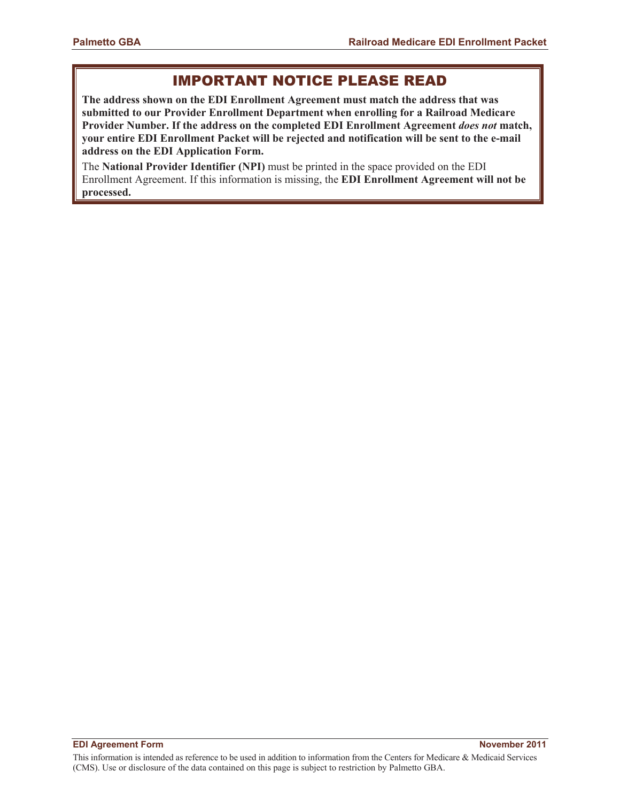### IMPORTANT NOTICE PLEASE READ

**The address shown on the EDI Enrollment Agreement must match the address that was submitted to our Provider Enrollment Department when enrolling for a Railroad Medicare Provider Number. If the address on the completed EDI Enrollment Agreement** *does not* **match, your entire EDI Enrollment Packet will be rejected and notification will be sent to the e-mail address on the EDI Application Form.** 

The **National Provider Identifier (NPI)** must be printed in the space provided on the EDI Enrollment Agreement. If this information is missing, the **EDI Enrollment Agreement will not be processed.**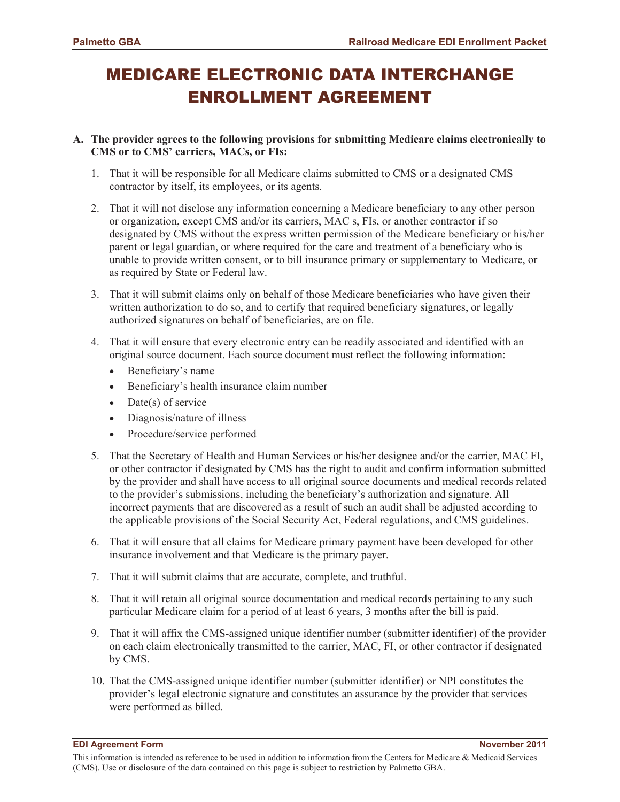# MEDICARE ELECTRONIC DATA INTERCHANGE ENROLLMENT AGREEMENT

#### **A. The provider agrees to the following provisions for submitting Medicare claims electronically to CMS or to CMS' carriers, MACs, or FIs:**

- 1. That it will be responsible for all Medicare claims submitted to CMS or a designated CMS contractor by itself, its employees, or its agents.
- 2. That it will not disclose any information concerning a Medicare beneficiary to any other person or organization, except CMS and/or its carriers, MAC s, FIs, or another contractor if so designated by CMS without the express written permission of the Medicare beneficiary or his/her parent or legal guardian, or where required for the care and treatment of a beneficiary who is unable to provide written consent, or to bill insurance primary or supplementary to Medicare, or as required by State or Federal law.
- 3. That it will submit claims only on behalf of those Medicare beneficiaries who have given their written authorization to do so, and to certify that required beneficiary signatures, or legally authorized signatures on behalf of beneficiaries, are on file.
- 4. That it will ensure that every electronic entry can be readily associated and identified with an original source document. Each source document must reflect the following information:
	- Beneficiary's name
	- Beneficiary's health insurance claim number
	- $\bullet$  Date(s) of service
	- Diagnosis/nature of illness
	- Procedure/service performed
- 5. That the Secretary of Health and Human Services or his/her designee and/or the carrier, MAC FI, or other contractor if designated by CMS has the right to audit and confirm information submitted by the provider and shall have access to all original source documents and medical records related to the provider's submissions, including the beneficiary's authorization and signature. All incorrect payments that are discovered as a result of such an audit shall be adjusted according to the applicable provisions of the Social Security Act, Federal regulations, and CMS guidelines.
- 6. That it will ensure that all claims for Medicare primary payment have been developed for other insurance involvement and that Medicare is the primary payer.
- 7. That it will submit claims that are accurate, complete, and truthful.
- 8. That it will retain all original source documentation and medical records pertaining to any such particular Medicare claim for a period of at least 6 years, 3 months after the bill is paid.
- 9. That it will affix the CMS-assigned unique identifier number (submitter identifier) of the provider on each claim electronically transmitted to the carrier, MAC, FI, or other contractor if designated by CMS.
- 10. That the CMS-assigned unique identifier number (submitter identifier) or NPI constitutes the provider's legal electronic signature and constitutes an assurance by the provider that services were performed as billed.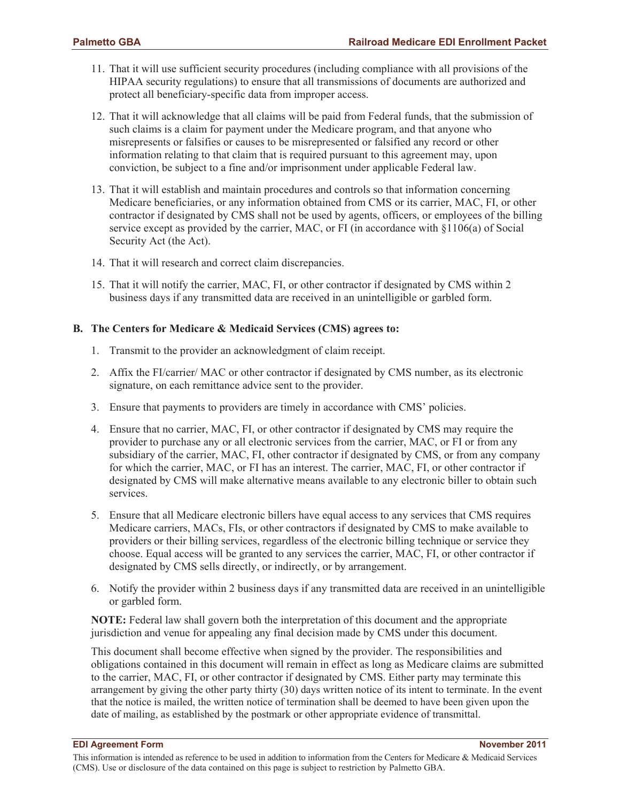- 11. That it will use sufficient security procedures (including compliance with all provisions of the HIPAA security regulations) to ensure that all transmissions of documents are authorized and protect all beneficiary-specific data from improper access.
- 12. That it will acknowledge that all claims will be paid from Federal funds, that the submission of such claims is a claim for payment under the Medicare program, and that anyone who misrepresents or falsifies or causes to be misrepresented or falsified any record or other information relating to that claim that is required pursuant to this agreement may, upon conviction, be subject to a fine and/or imprisonment under applicable Federal law.
- 13. That it will establish and maintain procedures and controls so that information concerning Medicare beneficiaries, or any information obtained from CMS or its carrier, MAC, FI, or other contractor if designated by CMS shall not be used by agents, officers, or employees of the billing service except as provided by the carrier, MAC, or FI (in accordance with §1106(a) of Social Security Act (the Act).
- 14. That it will research and correct claim discrepancies.
- 15. That it will notify the carrier, MAC, FI, or other contractor if designated by CMS within 2 business days if any transmitted data are received in an unintelligible or garbled form.

#### **B. The Centers for Medicare & Medicaid Services (CMS) agrees to:**

- 1. Transmit to the provider an acknowledgment of claim receipt.
- 2. Affix the FI/carrier/ MAC or other contractor if designated by CMS number, as its electronic signature, on each remittance advice sent to the provider.
- 3. Ensure that payments to providers are timely in accordance with CMS' policies.
- 4. Ensure that no carrier, MAC, FI, or other contractor if designated by CMS may require the provider to purchase any or all electronic services from the carrier, MAC, or FI or from any subsidiary of the carrier, MAC, FI, other contractor if designated by CMS, or from any company for which the carrier, MAC, or FI has an interest. The carrier, MAC, FI, or other contractor if designated by CMS will make alternative means available to any electronic biller to obtain such services.
- 5. Ensure that all Medicare electronic billers have equal access to any services that CMS requires Medicare carriers, MACs, FIs, or other contractors if designated by CMS to make available to providers or their billing services, regardless of the electronic billing technique or service they choose. Equal access will be granted to any services the carrier, MAC, FI, or other contractor if designated by CMS sells directly, or indirectly, or by arrangement.
- 6. Notify the provider within 2 business days if any transmitted data are received in an unintelligible or garbled form.

**NOTE:** Federal law shall govern both the interpretation of this document and the appropriate jurisdiction and venue for appealing any final decision made by CMS under this document.

This document shall become effective when signed by the provider. The responsibilities and obligations contained in this document will remain in effect as long as Medicare claims are submitted to the carrier, MAC, FI, or other contractor if designated by CMS. Either party may terminate this arrangement by giving the other party thirty (30) days written notice of its intent to terminate. In the event that the notice is mailed, the written notice of termination shall be deemed to have been given upon the date of mailing, as established by the postmark or other appropriate evidence of transmittal.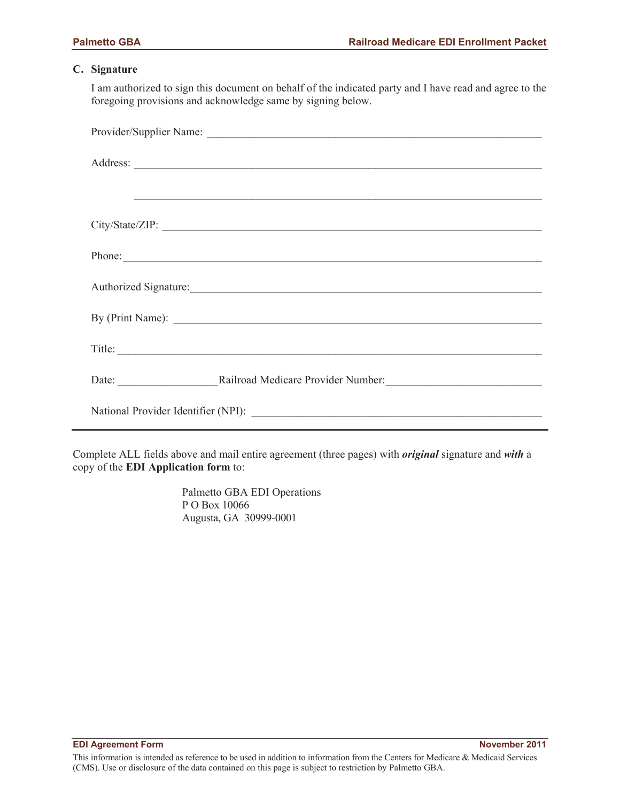#### **C. Signature**

I am authorized to sign this document on behalf of the indicated party and I have read and agree to the foregoing provisions and acknowledge same by signing below.

|  | <u> 1999 - Jan James James James James James James James James James James James James James James James James Ja</u> |  |  |  |
|--|-----------------------------------------------------------------------------------------------------------------------|--|--|--|
|  |                                                                                                                       |  |  |  |
|  | Phone:                                                                                                                |  |  |  |
|  | Authorized Signature:                                                                                                 |  |  |  |
|  | By (Print Name):                                                                                                      |  |  |  |
|  | Title:                                                                                                                |  |  |  |
|  |                                                                                                                       |  |  |  |
|  |                                                                                                                       |  |  |  |

Complete ALL fields above and mail entire agreement (three pages) with *original* signature and *with* a copy of the **EDI Application form** to:

> Palmetto GBA EDI Operations P O Box 10066 Augusta, GA 30999-0001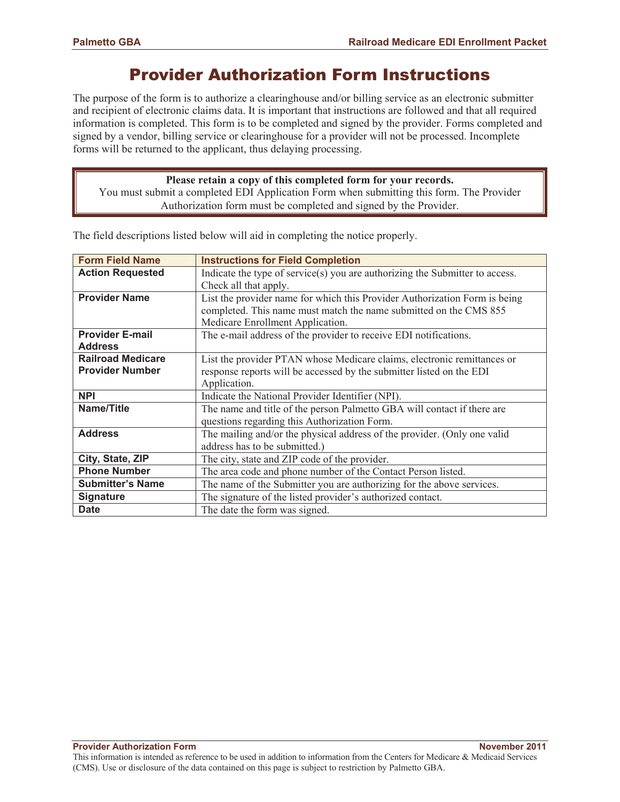# Provider Authorization Form Instructions

The purpose of the form is to authorize a clearinghouse and/or billing service as an electronic submitter and recipient of electronic claims data. It is important that instructions are followed and that all required information is completed. This form is to be completed and signed by the provider. Forms completed and signed by a vendor, billing service or clearinghouse for a provider will not be processed. Incomplete forms will be returned to the applicant, thus delaying processing.

**Please retain a copy of this completed form for your records.**  You must submit a completed EDI Application Form when submitting this form. The Provider Authorization form must be completed and signed by the Provider.

| <b>Form Field Name</b>   | <b>Instructions for Field Completion</b>                                     |  |  |  |
|--------------------------|------------------------------------------------------------------------------|--|--|--|
| <b>Action Requested</b>  | Indicate the type of service(s) you are authorizing the Submitter to access. |  |  |  |
|                          | Check all that apply.                                                        |  |  |  |
| <b>Provider Name</b>     | List the provider name for which this Provider Authorization Form is being   |  |  |  |
|                          | completed. This name must match the name submitted on the CMS 855            |  |  |  |
|                          | Medicare Enrollment Application.                                             |  |  |  |
| <b>Provider E-mail</b>   | The e-mail address of the provider to receive EDI notifications.             |  |  |  |
| <b>Address</b>           |                                                                              |  |  |  |
| <b>Railroad Medicare</b> | List the provider PTAN whose Medicare claims, electronic remittances or      |  |  |  |
| <b>Provider Number</b>   | response reports will be accessed by the submitter listed on the EDI         |  |  |  |
|                          | Application.                                                                 |  |  |  |
| <b>NPI</b>               | Indicate the National Provider Identifier (NPI).                             |  |  |  |
| Name/Title               | The name and title of the person Palmetto GBA will contact if there are      |  |  |  |
|                          | questions regarding this Authorization Form.                                 |  |  |  |
| <b>Address</b>           | The mailing and/or the physical address of the provider. (Only one valid     |  |  |  |
|                          | address has to be submitted.)                                                |  |  |  |
| City, State, ZIP         | The city, state and ZIP code of the provider.                                |  |  |  |
| <b>Phone Number</b>      | The area code and phone number of the Contact Person listed.                 |  |  |  |
| <b>Submitter's Name</b>  | The name of the Submitter you are authorizing for the above services.        |  |  |  |
| <b>Signature</b>         | The signature of the listed provider's authorized contact.                   |  |  |  |
| <b>Date</b>              | The date the form was signed.                                                |  |  |  |

The field descriptions listed below will aid in completing the notice properly.